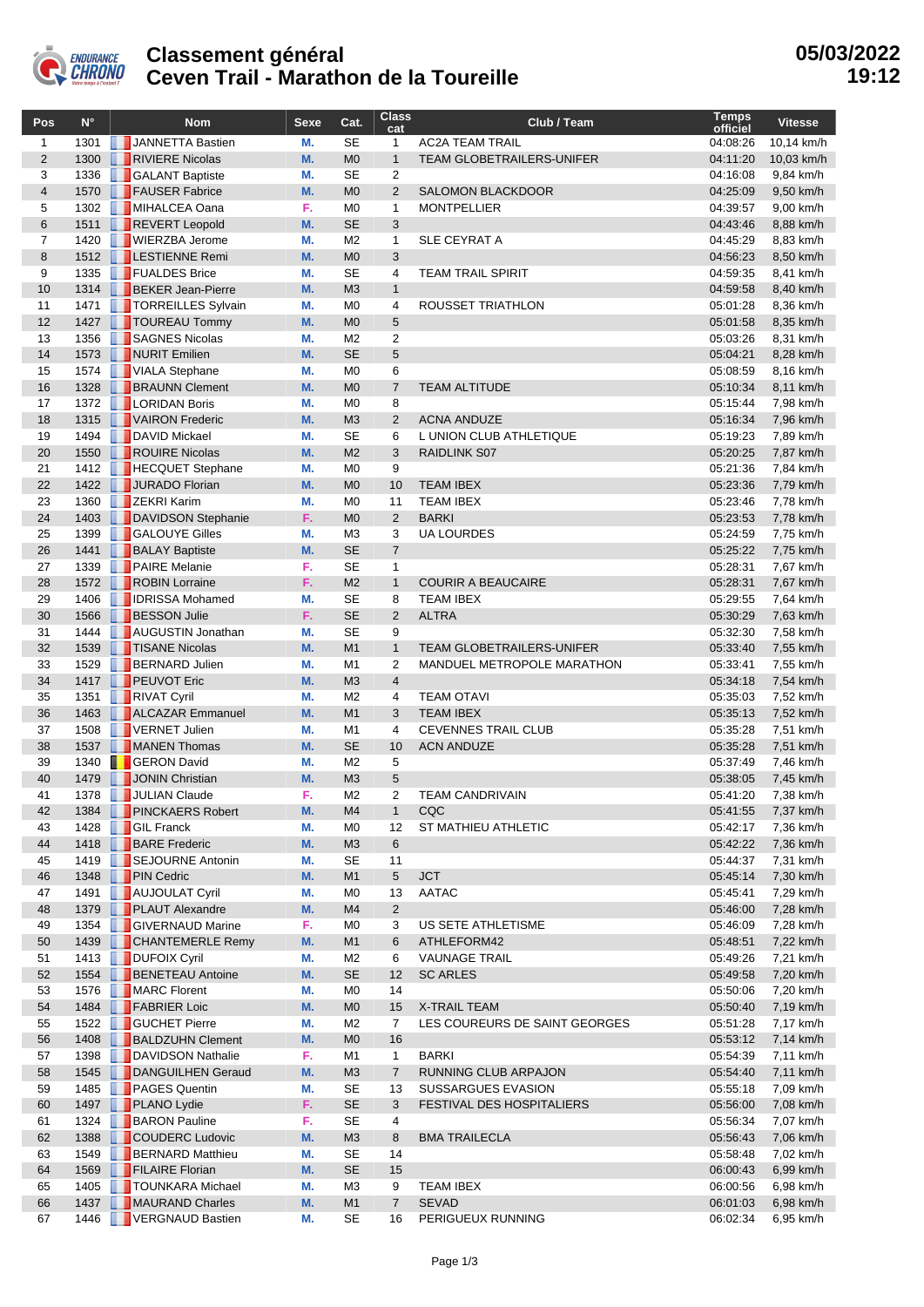

## **Classement général Ceven Trail - Marathon de la Toureille**

| Pos            | $N^{\circ}$  | <b>Nom</b>                                     | <b>Sexe</b> | Cat.                             | <b>Class</b><br>cat            | Club / Team                                 | <b>Temps</b><br>officiel | <b>Vitesse</b>         |
|----------------|--------------|------------------------------------------------|-------------|----------------------------------|--------------------------------|---------------------------------------------|--------------------------|------------------------|
| $\mathbf{1}$   | 1301         | JANNETTA Bastien                               | М.          | <b>SE</b>                        | $\mathbf{1}$                   | <b>AC2A TEAM TRAIL</b>                      | 04:08:26                 | 10,14 km/h             |
| $\overline{2}$ | 1300         | RIVIERE Nicolas                                | M.          | M <sub>0</sub>                   | $\mathbf{1}$                   | <b>TEAM GLOBETRAILERS-UNIFER</b>            | 04:11:20                 | 10,03 km/h             |
| 3              | 1336         | <b>GALANT Baptiste</b>                         | М.          | SE                               | 2                              |                                             | 04:16:08                 | 9,84 km/h              |
| $\overline{4}$ | 1570         | <b>FAUSER Fabrice</b>                          | M.          | M <sub>0</sub>                   | $\overline{2}$                 | SALOMON BLACKDOOR                           | 04:25:09                 | 9,50 km/h              |
| 5              |              | 1302 MIHALCEA Oana                             | F.          | M <sub>0</sub>                   | $\mathbf{1}$                   | <b>MONTPELLIER</b>                          | 04:39:57                 | 9,00 km/h              |
| $6\phantom{1}$ | 1511         | REVERT Leopold                                 | M.          | <b>SE</b>                        | 3                              |                                             | 04:43:46                 | 8,88 km/h              |
| $\overline{7}$ | 1420         | <b>WIERZBA Jerome</b>                          | М.          | M <sub>2</sub>                   | $\mathbf{1}$                   | <b>SLE CEYRAT A</b>                         | 04:45:29                 | 8,83 km/h              |
| 8              | 1512         | <b>LESTIENNE Remi</b>                          | M.          | M <sub>0</sub>                   | 3                              |                                             | 04:56:23                 | 8,50 km/h              |
| 9              | 1335         | FUALDES Brice                                  | М.          | SE                               | 4                              | <b>TEAM TRAIL SPIRIT</b>                    | 04:59:35                 | 8,41 km/h              |
| 10<br>11       | 1314<br>1471 | <b>BEKER Jean-Pierre</b><br>TORREILLES Sylvain | M.<br>М.    | M <sub>3</sub><br>M <sub>0</sub> | $\mathbf{1}$<br>$\overline{4}$ | ROUSSET TRIATHLON                           | 04:59:58<br>05:01:28     | 8,40 km/h              |
| 12             | 1427         | TOUREAU Tommy                                  | M.          | M <sub>0</sub>                   | 5                              |                                             | 05:01:58                 | 8,36 km/h<br>8,35 km/h |
| 13             | 1356         | SAGNES Nicolas                                 | М.          | M <sub>2</sub>                   | 2                              |                                             | 05:03:26                 | 8,31 km/h              |
| 14             | 1573         | NURIT Emilien                                  | M.          | <b>SE</b>                        | 5                              |                                             | 05:04:21                 | 8,28 km/h              |
| 15             | 1574         | VIALA Stephane                                 | М.          | M <sub>0</sub>                   | 6                              |                                             | 05:08:59                 | 8,16 km/h              |
| 16             | 1328         | <b>BRAUNN Clement</b>                          | M.          | M <sub>0</sub>                   | $\overline{7}$                 | <b>TEAM ALTITUDE</b>                        | 05:10:34                 | 8,11 km/h              |
| 17             |              | 1372   LORIDAN Boris                           | М.          | M <sub>0</sub>                   | 8                              |                                             | 05:15:44                 | 7,98 km/h              |
| 18             | 1315         | VAIRON Frederic                                | M.          | M <sub>3</sub>                   | $\overline{2}$                 | <b>ACNA ANDUZE</b>                          | 05:16:34                 | 7,96 km/h              |
| 19             | 1494         | DAVID Mickael                                  | М.          | SE                               | 6                              | L UNION CLUB ATHLETIQUE                     | 05:19:23                 | 7,89 km/h              |
| 20             | 1550         | ROUIRE Nicolas                                 | M.          | M <sub>2</sub>                   | 3                              | RAIDLINK S07                                | 05:20:25                 | 7,87 km/h              |
| 21             |              | 1412   HECQUET Stephane                        | М.          | M <sub>0</sub>                   | 9                              |                                             | 05:21:36                 | 7,84 km/h              |
| 22             | 1422         | JURADO Florian                                 | M.          | M <sub>0</sub>                   | 10                             | <b>TEAM IBEX</b>                            | 05:23:36                 | 7,79 km/h              |
| 23             | 1360         | <b>ZEKRI Karim</b>                             | М.          | M <sub>0</sub>                   | 11                             | <b>TEAM IBEX</b>                            | 05:23:46                 | 7,78 km/h              |
| 24             | 1403         | DAVIDSON Stephanie                             | F.          | M <sub>0</sub>                   | $\overline{2}$                 | <b>BARKI</b>                                | 05:23:53                 | 7,78 km/h              |
| 25<br>26       | 1399         | <b>GALOUYE Gilles</b>                          | М.<br>M.    | M <sub>3</sub><br><b>SE</b>      | 3<br>$\overline{7}$            | <b>UA LOURDES</b>                           | 05:24:59<br>05:25:22     | 7,75 km/h              |
| 27             | 1441<br>1339 | <b>BALAY Baptiste</b><br><b>PAIRE</b> Melanie  | F.          | <b>SE</b>                        | $\mathbf{1}$                   |                                             | 05:28:31                 | 7,75 km/h<br>7,67 km/h |
| 28             | 1572         | ROBIN Lorraine                                 | F.          | M <sub>2</sub>                   | $\mathbf{1}$                   | <b>COURIR A BEAUCAIRE</b>                   | 05:28:31                 | 7,67 km/h              |
| 29             | 1406         | <b>DESA Mohamed</b>                            | М.          | SE                               | 8                              | <b>TEAM IBEX</b>                            | 05:29:55                 | 7,64 km/h              |
| 30             | 1566         | <b>BESSON Julie</b>                            | F.          | <b>SE</b>                        | $\overline{2}$                 | <b>ALTRA</b>                                | 05:30:29                 | 7,63 km/h              |
| 31             | 1444         | <b>AUGUSTIN Jonathan</b>                       | М.          | SE                               | 9                              |                                             | 05:32:30                 | 7,58 km/h              |
| 32             | 1539         | <b>TISANE Nicolas</b>                          | M.          | M1                               | $\mathbf{1}$                   | <b>TEAM GLOBETRAILERS-UNIFER</b>            | 05:33:40                 | 7,55 km/h              |
| 33             | 1529         | <b>BERNARD Julien</b>                          | М.          | M1                               | $\overline{2}$                 | MANDUEL METROPOLE MARATHON                  | 05:33:41                 | 7,55 km/h              |
| 34             | 1417         | <b>PEUVOT Eric</b>                             | M.          | M <sub>3</sub>                   | $\overline{4}$                 |                                             | 05:34:18                 | 7,54 km/h              |
| 35             | 1351         | <b>RIVAT Cyril</b>                             | М.          | M <sub>2</sub>                   | $\overline{4}$                 | <b>TEAM OTAVI</b>                           | 05:35:03                 | 7,52 km/h              |
| 36             | 1463         | ALCAZAR Emmanuel                               | M.          | M1                               | 3                              | <b>TEAM IBEX</b>                            | 05:35:13                 | 7,52 km/h              |
| 37             | 1508         | <b>TVERNET Julien</b>                          | М.          | M <sub>1</sub>                   | 4                              | <b>CEVENNES TRAIL CLUB</b>                  | 05:35:28                 | 7,51 km/h              |
| 38             | 1537         | MANEN Thomas                                   | M.          | <b>SE</b>                        | 10                             | <b>ACN ANDUZE</b>                           | 05:35:28                 | 7,51 km/h              |
| 39             | 1340         | <b>F</b> GERON David                           | М.          | M <sub>2</sub>                   | 5                              |                                             | 05:37:49                 | 7,46 km/h              |
| 40             | 1479         | JONIN Christian                                | M.          | M <sub>3</sub>                   | 5                              |                                             | 05:38:05                 | 7,45 km/h              |
| 41             |              | 1378 JULIAN Claude                             | F.          | M <sub>2</sub>                   | 2                              | <b>TEAM CANDRIVAIN</b>                      | 05:41:20                 | 7,38 km/h              |
| 42<br>43       | 1384<br>1428 | <b>PINCKAERS Robert</b><br><b>B</b> GIL Franck | M.<br>M.    | M4<br>M <sub>0</sub>             | 1<br>12                        | CQC<br><b>ST MATHIEU ATHLETIC</b>           | 05:41:55<br>05:42:17     | 7,37 km/h<br>7,36 km/h |
| 44             | 1418         | <b>BARE</b> Frederic                           | M.          | M <sub>3</sub>                   | 6                              |                                             | 05:42:22                 | 7,36 km/h              |
| 45             | 1419         | SEJOURNE Antonin                               | M.          | SE                               | 11                             |                                             | 05:44:37                 | 7,31 km/h              |
| 46             | 1348         | <b>PIN Cedric</b>                              | M.          | M <sub>1</sub>                   | 5                              | <b>JCT</b>                                  | 05:45:14                 | 7,30 km/h              |
| 47             | 1491         | <b>AUJOULAT Cyril</b>                          | М.          | M <sub>0</sub>                   | 13                             | AATAC                                       | 05:45:41                 | 7,29 km/h              |
| 48             | 1379         | <b>PLAUT Alexandre</b>                         | M.          | M4                               | $\overline{2}$                 |                                             | 05:46:00                 | 7,28 km/h              |
| 49             |              | 1354 GIVERNAUD Marine                          | F.          | M <sub>0</sub>                   | 3                              | US SETE ATHLETISME                          | 05:46:09                 | 7,28 km/h              |
| 50             | 1439         | <b>CHANTEMERLE Remy</b>                        | M.          | M <sub>1</sub>                   | 6                              | ATHLEFORM42                                 | 05:48:51                 | 7,22 km/h              |
| 51             |              | 1413 <b>DUFOIX Cyril</b>                       | М.          | M <sub>2</sub>                   | 6                              | <b>VAUNAGE TRAIL</b>                        | 05:49:26                 | 7,21 km/h              |
| 52             |              | 1554 BENETEAU Antoine                          | M.          | <b>SE</b>                        | 12                             | <b>SC ARLES</b>                             | 05:49:58                 | 7,20 km/h              |
| 53             |              | 1576 MARC Florent                              | M.          | M <sub>0</sub>                   | 14                             |                                             | 05:50:06                 | 7,20 km/h              |
| 54             |              | 1484 <b>FABRIER Loic</b>                       | M.          | M <sub>0</sub>                   | 15                             | <b>X-TRAIL TEAM</b>                         | 05:50:40                 | 7,19 km/h              |
| 55             |              | 1522 GUCHET Pierre                             | М.          | M <sub>2</sub>                   | $\overline{7}$                 | LES COUREURS DE SAINT GEORGES               | 05:51:28                 | 7,17 km/h              |
| 56             | 1408         | <b>BALDZUHN Clement</b>                        | M.          | M <sub>0</sub>                   | 16                             |                                             | 05:53:12                 | 7,14 km/h              |
| 57             | 1398<br>1545 | <b>DAVIDSON Nathalie</b><br>DANGUILHEN Geraud  | F.<br>M.    | M1                               | $\mathbf{1}$<br>$\overline{7}$ | <b>BARKI</b><br><b>RUNNING CLUB ARPAJON</b> | 05:54:39                 | 7,11 km/h              |
| 58<br>59       | 1485         | <b>PAGES Quentin</b>                           | М.          | M <sub>3</sub><br>SE             | 13                             | <b>SUSSARGUES EVASION</b>                   | 05:54:40<br>05:55:18     | 7,11 km/h<br>7,09 km/h |
| 60             | 1497         | <b>PLANO Lydie</b>                             | F.          | <b>SE</b>                        | 3                              | <b>FESTIVAL DES HOSPITALIERS</b>            | 05:56:00                 | 7,08 km/h              |
| 61             |              | 1324 <b>BARON</b> Pauline                      | F.          | SE                               | 4                              |                                             | 05:56:34                 | 7,07 km/h              |
| 62             | 1388         | COUDERC Ludovic                                | M.          | M <sub>3</sub>                   | 8                              | <b>BMA TRAILECLA</b>                        | 05:56:43                 | 7,06 km/h              |
| 63             | 1549         | <b>BERNARD Matthieu</b>                        | М.          | <b>SE</b>                        | 14                             |                                             | 05:58:48                 | 7,02 km/h              |
| 64             | 1569         | <b>FILAIRE Florian</b>                         | M.          | <b>SE</b>                        | 15                             |                                             | 06:00:43                 | 6,99 km/h              |
| 65             | 1405         | <b>T</b> TOUNKARA Michael                      | М.          | M <sub>3</sub>                   | 9                              | <b>TEAM IBEX</b>                            | 06:00:56                 | 6,98 km/h              |
| 66             | 1437         | MAURAND Charles                                | M.          | M <sub>1</sub>                   | $\overline{7}$                 | <b>SEVAD</b>                                | 06:01:03                 | 6,98 km/h              |
| 67             | 1446         | VERGNAUD Bastien                               | М.          | <b>SE</b>                        | 16                             | PERIGUEUX RUNNING                           | 06:02:34                 | 6,95 km/h              |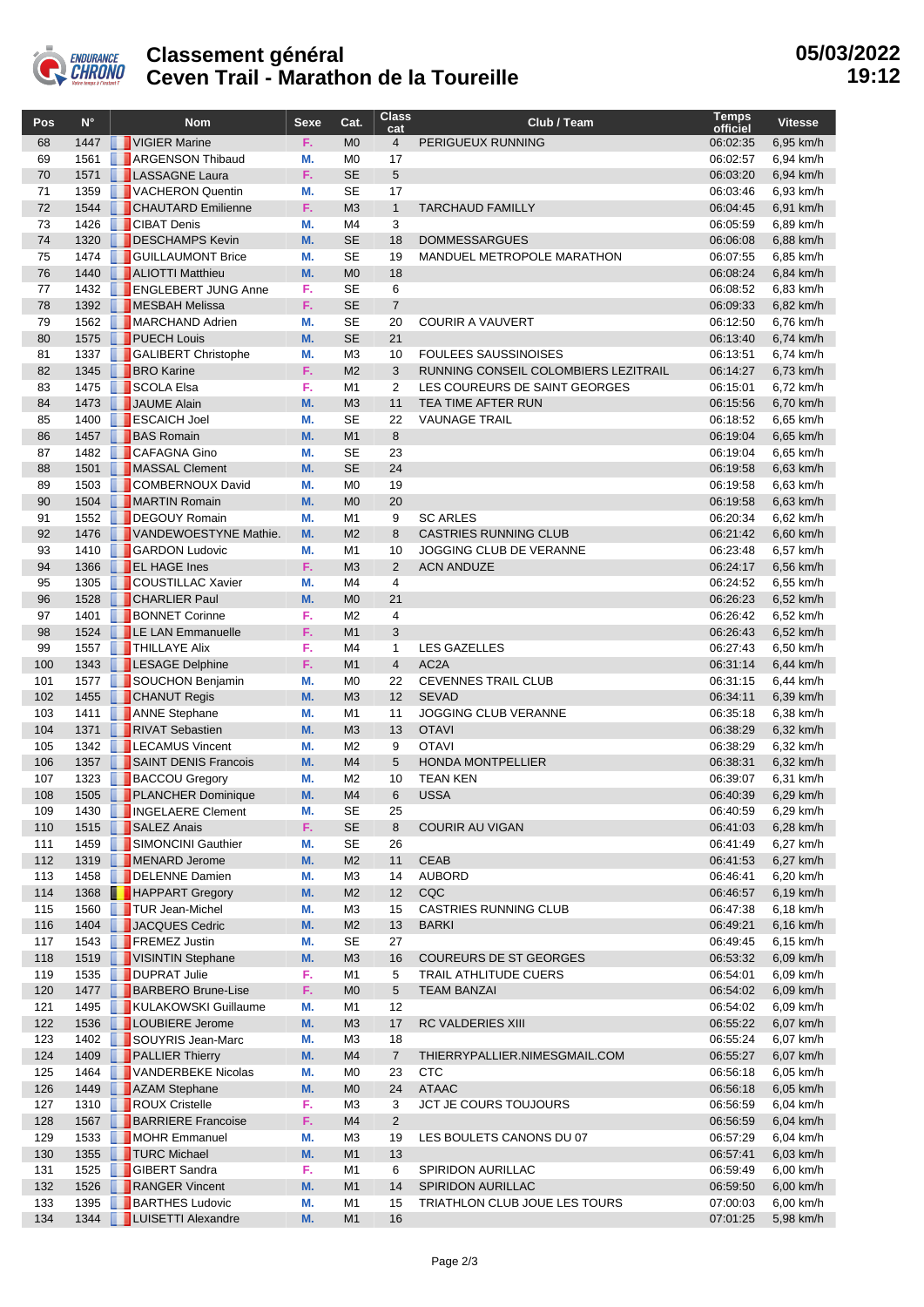

## **Classement général Ceven Trail - Marathon de la Toureille**

| Pos        | $N^{\circ}$  |   | <b>Nom</b>                                              | <b>Sexe</b> | Cat.                             | <b>Class</b><br>cat | Club / Team                                     | <b>Temps</b><br>officiel | <b>Vitesse</b>         |
|------------|--------------|---|---------------------------------------------------------|-------------|----------------------------------|---------------------|-------------------------------------------------|--------------------------|------------------------|
| 68         | 1447         |   | VIGIER Marine                                           | F.          | M <sub>0</sub>                   | $\overline{4}$      | PERIGUEUX RUNNING                               | 06:02:35                 | 6,95 km/h              |
| 69         | 1561         |   | <b>ARGENSON Thibaud</b>                                 | М.          | M <sub>0</sub>                   | 17                  |                                                 | 06:02:57                 | 6,94 km/h              |
| 70         | 1571         |   | <b>LASSAGNE Laura</b>                                   | F.          | <b>SE</b>                        | 5                   |                                                 | 06:03:20                 | 6,94 km/h              |
| 71         | 1359         |   | VACHERON Quentin                                        | М.          | <b>SE</b>                        | 17                  |                                                 | 06:03:46                 | 6,93 km/h              |
| 72         | 1544         |   | <b>CHAUTARD</b> Emilienne                               | F.          | M <sub>3</sub>                   | $\mathbf{1}$        | <b>TARCHAUD FAMILLY</b>                         | 06:04:45                 | 6,91 km/h              |
| 73         | 1426         |   | <b>CIBAT Denis</b>                                      | М.          | M4                               | 3                   |                                                 | 06:05:59                 | 6,89 km/h              |
| 74         | 1320         |   | DESCHAMPS Kevin                                         | M.          | <b>SE</b>                        | 18                  | <b>DOMMESSARGUES</b>                            | 06:06:08                 | 6,88 km/h              |
| 75         | 1474         |   | <b>GUILLAUMONT Brice</b>                                | М.          | <b>SE</b>                        | 19                  | MANDUEL METROPOLE MARATHON                      | 06:07:55                 | 6,85 km/h              |
| 76<br>77   | 1440<br>1432 |   | <b>ALIOTTI Matthieu</b><br><b>EXPLOREMENT JUNG Anne</b> | M.<br>F.    | M <sub>0</sub><br><b>SE</b>      | 18<br>6             |                                                 | 06:08:24<br>06:08:52     | 6,84 km/h<br>6,83 km/h |
| 78         | 1392         |   | MESBAH Melissa                                          | F.          | <b>SE</b>                        | $\overline{7}$      |                                                 | 06:09:33                 | 6,82 km/h              |
| 79         | 1562         |   | MARCHAND Adrien                                         | М.          | <b>SE</b>                        | 20                  | <b>COURIR A VAUVERT</b>                         | 06:12:50                 | 6,76 km/h              |
| 80         | 1575         |   | <b>PUECH Louis</b>                                      | M.          | <b>SE</b>                        | 21                  |                                                 | 06:13:40                 | 6,74 km/h              |
| 81         | 1337         |   | GALIBERT Christophe                                     | М.          | M <sub>3</sub>                   | 10                  | <b>FOULEES SAUSSINOISES</b>                     | 06:13:51                 | 6,74 km/h              |
| 82         | 1345         |   | <b>BRO</b> Karine                                       | F.          | M <sub>2</sub>                   | 3                   | RUNNING CONSEIL COLOMBIERS LEZITRAIL            | 06:14:27                 | 6,73 km/h              |
| 83         | 1475         |   | SCOLA Elsa                                              | F.          | M <sub>1</sub>                   | 2                   | LES COUREURS DE SAINT GEORGES                   | 06:15:01                 | 6,72 km/h              |
| 84         | 1473         |   | JAUME Alain                                             | M.          | M <sub>3</sub>                   | 11                  | TEA TIME AFTER RUN                              | 06:15:56                 | 6,70 km/h              |
| 85         | 1400         |   | <b>ESCAICH Joel</b>                                     | М.          | <b>SE</b>                        | 22                  | <b>VAUNAGE TRAIL</b>                            | 06:18:52                 | 6,65 km/h              |
| 86         | 1457         |   | <b>BAS Romain</b>                                       | M.          | M1                               | 8                   |                                                 | 06:19:04                 | 6,65 km/h              |
| 87         | 1482         |   | <b>CAFAGNA Gino</b>                                     | М.          | <b>SE</b>                        | 23                  |                                                 | 06:19:04                 | 6,65 km/h              |
| 88         | 1501         |   | MASSAL Clement                                          | M.          | <b>SE</b>                        | 24                  |                                                 | 06:19:58                 | 6,63 km/h              |
| 89         | 1503         |   | <b>COMBERNOUX David</b>                                 | М.          | M <sub>0</sub>                   | 19                  |                                                 | 06:19:58                 | 6,63 km/h              |
| 90         | 1504         |   | MARTIN Romain<br>DEGOUY Romain                          | M.          | M <sub>0</sub>                   | 20                  |                                                 | 06:19:58                 | 6,63 km/h              |
| 91<br>92   | 1552<br>1476 |   | VANDEWOESTYNE Mathie.                                   | М.<br>M.    | M <sub>1</sub><br>M <sub>2</sub> | 9<br>8              | <b>SC ARLES</b><br><b>CASTRIES RUNNING CLUB</b> | 06:20:34<br>06:21:42     | 6,62 km/h              |
| 93         | 1410         |   | <b>GARDON Ludovic</b>                                   | М.          | M <sub>1</sub>                   | 10                  | JOGGING CLUB DE VERANNE                         | 06:23:48                 | 6,60 km/h<br>6,57 km/h |
| 94         | 1366         |   | <b>EL HAGE Ines</b>                                     | F.          | M <sub>3</sub>                   | 2                   | <b>ACN ANDUZE</b>                               | 06:24:17                 | 6,56 km/h              |
| 95         | 1305         |   | <b>COUSTILLAC Xavier</b>                                | М.          | M <sub>4</sub>                   | $\overline{4}$      |                                                 | 06:24:52                 | 6,55 km/h              |
| 96         | 1528         |   | <b>CHARLIER Paul</b>                                    | M.          | M <sub>0</sub>                   | 21                  |                                                 | 06:26:23                 | 6,52 km/h              |
| 97         | 1401         |   | <b>BONNET Corinne</b>                                   | F.          | M <sub>2</sub>                   | 4                   |                                                 | 06:26:42                 | 6,52 km/h              |
| 98         |              |   | 1524   LE LAN Emmanuelle                                | F.          | M1                               | 3                   |                                                 | 06:26:43                 | 6,52 km/h              |
| 99         | 1557         |   | <b>THILLAYE Alix</b>                                    | F.          | M <sub>4</sub>                   | $\mathbf{1}$        | <b>LES GAZELLES</b>                             | 06:27:43                 | 6,50 km/h              |
| 100        | 1343         |   | <b>EXAGE Delphine</b>                                   | F.          | M1                               | $\overline{4}$      | AC <sub>2</sub> A                               | 06:31:14                 | 6,44 km/h              |
| 101        | 1577         |   | SOUCHON Benjamin                                        | М.          | M <sub>0</sub>                   | 22                  | <b>CEVENNES TRAIL CLUB</b>                      | 06:31:15                 | 6,44 km/h              |
| 102        | 1455         |   | <b>CHANUT Regis</b>                                     | M.          | M <sub>3</sub>                   | 12                  | <b>SEVAD</b>                                    | 06:34:11                 | 6,39 km/h              |
| 103        | 1411         |   | <b>ANNE Stephane</b>                                    | М.          | M <sub>1</sub>                   | 11                  | <b>JOGGING CLUB VERANNE</b>                     | 06:35:18                 | 6,38 km/h              |
| 104        | 1371         |   | RIVAT Sebastien                                         | M.          | M <sub>3</sub>                   | 13                  | <b>OTAVI</b>                                    | 06:38:29                 | 6,32 km/h              |
| 105        | 1342         |   | <b>ELECAMUS Vincent</b><br>SAINT DENIS Francois         | М.<br>M.    | M <sub>2</sub><br>M <sub>4</sub> | 9<br>5              | <b>OTAVI</b><br><b>HONDA MONTPELLIER</b>        | 06:38:29<br>06:38:31     | 6,32 km/h              |
| 106<br>107 | 1357<br>1323 |   | <b>BACCOU Gregory</b>                                   | М.          | M <sub>2</sub>                   | 10                  | <b>TEAN KEN</b>                                 | 06:39:07                 | 6,32 km/h<br>6,31 km/h |
| 108        | 1505         |   | <b>PLANCHER Dominique</b>                               | M.          | M <sub>4</sub>                   | 6                   | <b>USSA</b>                                     | 06:40:39                 | 6,29 km/h              |
| 109        | 1430         | ш | <b>NOELAERE</b> Clement                                 | М.          | SE                               | 25                  |                                                 | 06:40:59                 | 6,29 km/h              |
| 110        | 1515         | ш | SALEZ Anais                                             | F.          | <b>SE</b>                        | 8                   | <b>COURIR AU VIGAN</b>                          | 06:41:03                 | 6,28 km/h              |
| 111        | 1459         |   | SIMONCINI Gauthier                                      | М.          | <b>SE</b>                        | 26                  |                                                 | 06:41:49                 | 6,27 km/h              |
| 112        | 1319         |   | MENARD Jerome                                           | M.          | M <sub>2</sub>                   | 11                  | <b>CEAB</b>                                     | 06:41:53                 | 6,27 km/h              |
| 113        | 1458         |   | DELENNE Damien                                          | М.          | M3                               | 14                  | <b>AUBORD</b>                                   | 06:46:41                 | 6,20 km/h              |
| 114        |              |   | 1368 <b>HAPPART Gregory</b>                             | M.          | M <sub>2</sub>                   | 12                  | CQC                                             | 06:46:57                 | 6,19 km/h              |
| 115        | 1560         |   | TUR Jean-Michel                                         | М.          | M3                               | 15                  | CASTRIES RUNNING CLUB                           | 06:47:38                 | 6,18 km/h              |
| 116        |              |   | 1404 JACQUES Cedric                                     | M.          | M <sub>2</sub>                   | 13                  | <b>BARKI</b>                                    | 06:49:21                 | 6,16 km/h              |
| 117        | 1543         |   | <b>FREMEZ Justin</b>                                    | М.          | <b>SE</b>                        | 27                  |                                                 | 06:49:45                 | 6,15 km/h              |
| 118        |              |   | 1519   VISINTIN Stephane                                | M.          | M3                               | 16                  | COUREURS DE ST GEORGES                          | 06:53:32                 | 6,09 km/h              |
| 119        |              |   | 1535 DUPRAT Julie                                       | F.          | M1                               | 5                   | TRAIL ATHLITUDE CUERS                           | 06:54:01                 | 6,09 km/h              |
| 120        |              |   | 1477   BARBERO Brune-Lise                               | F.          | M <sub>0</sub>                   | 5                   | <b>TEAM BANZAI</b>                              | 06:54:02                 | 6,09 km/h              |
| 121<br>122 | 1495         |   | KULAKOWSKI Guillaume<br>1536   LOUBIERE Jerome          | М.<br>M.    | M1<br>M <sub>3</sub>             | 12<br>17            | <b>RC VALDERIES XIII</b>                        | 06:54:02<br>06:55:22     | 6,09 km/h<br>6,07 km/h |
| 123        |              |   | 1402   SOUYRIS Jean-Marc                                | М.          | MЗ                               | 18                  |                                                 | 06:55:24                 | 6,07 km/h              |
| 124        | 1409         |   | <b>PALLIER Thierry</b>                                  | M.          | M4                               | $\overline{7}$      | THIERRYPALLIER.NIMESGMAIL.COM                   | 06:55:27                 | 6,07 km/h              |
| 125        | 1464         |   | VANDERBEKE Nicolas                                      | М.          | M0                               | 23                  | <b>CTC</b>                                      | 06:56:18                 | 6,05 km/h              |
| 126        |              |   | 1449 <b>AZAM</b> Stephane                               | M.          | M <sub>0</sub>                   | 24                  | <b>ATAAC</b>                                    | 06:56:18                 | 6,05 km/h              |
| 127        | 1310         |   | ROUX Cristelle                                          | F.          | M3                               | 3                   | <b>JCT JE COURS TOUJOURS</b>                    | 06:56:59                 | 6,04 km/h              |
| 128        | 1567         |   | <b>BARRIERE Francoise</b>                               | F.          | M4                               | $\mathbf 2$         |                                                 | 06:56:59                 | 6,04 km/h              |
| 129        | 1533         |   | MOHR Emmanuel                                           | М.          | M3                               | 19                  | LES BOULETS CANONS DU 07                        | 06:57:29                 | 6,04 km/h              |
| 130        |              |   | 1355 <b>TURC Michael</b>                                | M.          | M1                               | 13                  |                                                 | 06:57:41                 | 6,03 km/h              |
| 131        | 1525         |   | <b>GIBERT</b> Sandra                                    | F.          | M1                               | 6                   | SPIRIDON AURILLAC                               | 06:59:49                 | 6,00 km/h              |
| 132        | 1526         |   | RANGER Vincent                                          | M.          | M <sub>1</sub>                   | 14                  | SPIRIDON AURILLAC                               | 06:59:50                 | 6,00 km/h              |
| 133        | 1395         |   | <b>BARTHES Ludovic</b>                                  | М.          | M1                               | 15                  | TRIATHLON CLUB JOUE LES TOURS                   | 07:00:03                 | 6,00 km/h              |
| 134        |              |   | 1344   LUISETTI Alexandre                               | M.          | M1                               | 16                  |                                                 | 07:01:25                 | 5,98 km/h              |